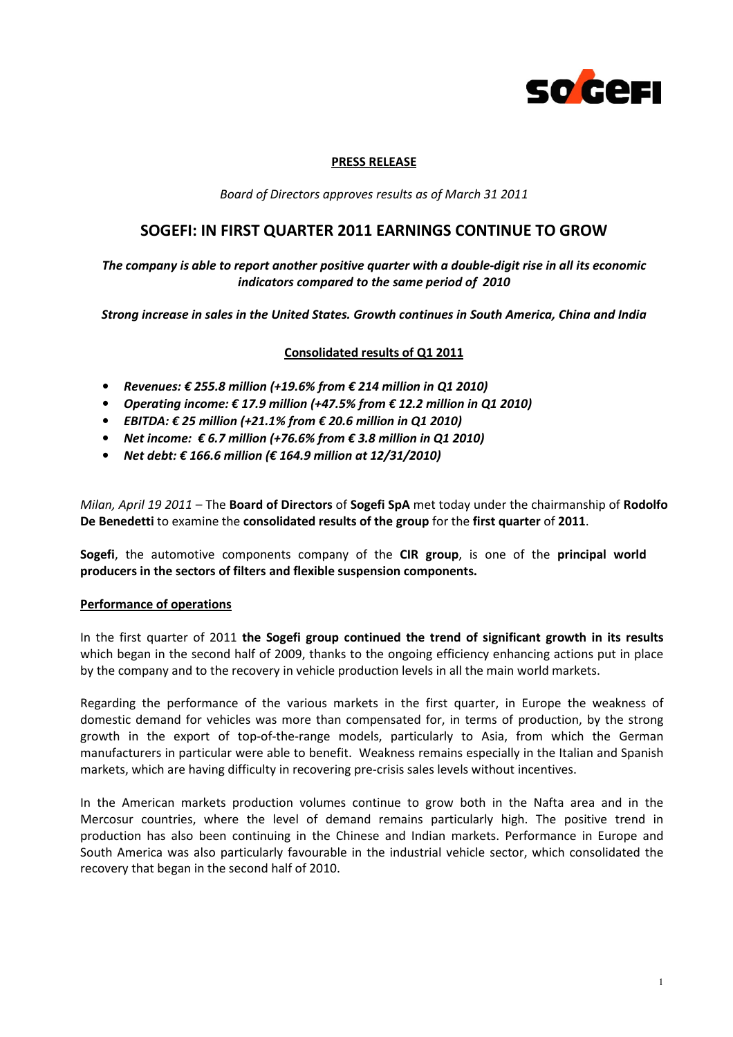

#### PRESS RELEASE

Board of Directors approves results as of March 31 2011

# SOGEFI: IN FIRST QUARTER 2011 EARNINGS CONTINUE TO GROW

The company is able to report another positive quarter with a double-digit rise in all its economic indicators compared to the same period of 2010

Strong increase in sales in the United States. Growth continues in South America, China and India

# Consolidated results of Q1 2011

- Revenues:  $\epsilon$  255.8 million (+19.6% from  $\epsilon$  214 million in Q1 2010)
- Operating income:  $\epsilon$  17.9 million (+47.5% from  $\epsilon$  12.2 million in Q1 2010)
- EBITDA: € 25 million (+21.1% from € 20.6 million in Q1 2010)
- Net income:  $\epsilon$  6.7 million (+76.6% from  $\epsilon$  3.8 million in Q1 2010)
- Net debt: € 166.6 million (€ 164.9 million at 12/31/2010)

Milan, April 19 2011 – The Board of Directors of Sogefi SpA met today under the chairmanship of Rodolfo De Benedetti to examine the consolidated results of the group for the first quarter of 2011.

Sogefi, the automotive components company of the CIR group, is one of the principal world producers in the sectors of filters and flexible suspension components.

#### Performance of operations

In the first quarter of 2011 the Sogefi group continued the trend of significant growth in its results which began in the second half of 2009, thanks to the ongoing efficiency enhancing actions put in place by the company and to the recovery in vehicle production levels in all the main world markets.

Regarding the performance of the various markets in the first quarter, in Europe the weakness of domestic demand for vehicles was more than compensated for, in terms of production, by the strong growth in the export of top-of-the-range models, particularly to Asia, from which the German manufacturers in particular were able to benefit. Weakness remains especially in the Italian and Spanish markets, which are having difficulty in recovering pre-crisis sales levels without incentives.

In the American markets production volumes continue to grow both in the Nafta area and in the Mercosur countries, where the level of demand remains particularly high. The positive trend in production has also been continuing in the Chinese and Indian markets. Performance in Europe and South America was also particularly favourable in the industrial vehicle sector, which consolidated the recovery that began in the second half of 2010.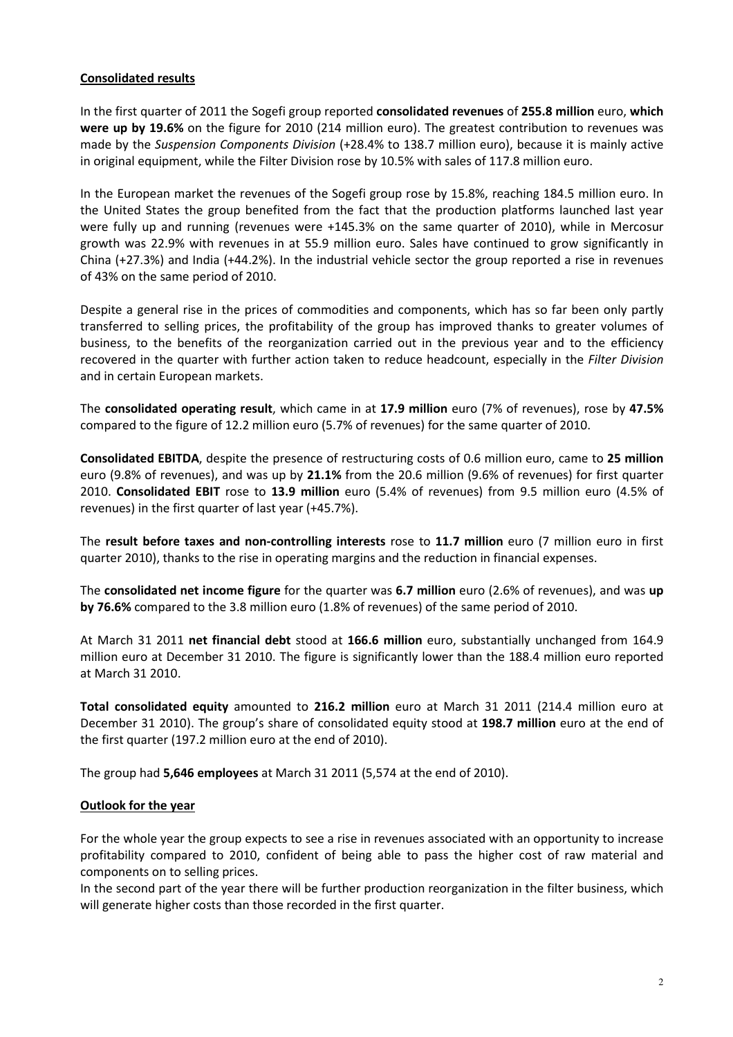# Consolidated results

In the first quarter of 2011 the Sogefi group reported consolidated revenues of 255.8 million euro, which were up by 19.6% on the figure for 2010 (214 million euro). The greatest contribution to revenues was made by the Suspension Components Division (+28.4% to 138.7 million euro), because it is mainly active in original equipment, while the Filter Division rose by 10.5% with sales of 117.8 million euro.

In the European market the revenues of the Sogefi group rose by 15.8%, reaching 184.5 million euro. In the United States the group benefited from the fact that the production platforms launched last year were fully up and running (revenues were +145.3% on the same quarter of 2010), while in Mercosur growth was 22.9% with revenues in at 55.9 million euro. Sales have continued to grow significantly in China (+27.3%) and India (+44.2%). In the industrial vehicle sector the group reported a rise in revenues of 43% on the same period of 2010.

Despite a general rise in the prices of commodities and components, which has so far been only partly transferred to selling prices, the profitability of the group has improved thanks to greater volumes of business, to the benefits of the reorganization carried out in the previous year and to the efficiency recovered in the quarter with further action taken to reduce headcount, especially in the Filter Division and in certain European markets.

The consolidated operating result, which came in at 17.9 million euro (7% of revenues), rose by 47.5% compared to the figure of 12.2 million euro (5.7% of revenues) for the same quarter of 2010.

Consolidated EBITDA, despite the presence of restructuring costs of 0.6 million euro, came to 25 million euro (9.8% of revenues), and was up by 21.1% from the 20.6 million (9.6% of revenues) for first quarter 2010. Consolidated EBIT rose to 13.9 million euro (5.4% of revenues) from 9.5 million euro (4.5% of revenues) in the first quarter of last year (+45.7%).

The result before taxes and non-controlling interests rose to 11.7 million euro (7 million euro in first quarter 2010), thanks to the rise in operating margins and the reduction in financial expenses.

The consolidated net income figure for the quarter was 6.7 million euro (2.6% of revenues), and was up by 76.6% compared to the 3.8 million euro (1.8% of revenues) of the same period of 2010.

At March 31 2011 net financial debt stood at 166.6 million euro, substantially unchanged from 164.9 million euro at December 31 2010. The figure is significantly lower than the 188.4 million euro reported at March 31 2010.

Total consolidated equity amounted to 216.2 million euro at March 31 2011 (214.4 million euro at December 31 2010). The group's share of consolidated equity stood at 198.7 million euro at the end of the first quarter (197.2 million euro at the end of 2010).

The group had 5,646 employees at March 31 2011 (5,574 at the end of 2010).

#### Outlook for the year

For the whole year the group expects to see a rise in revenues associated with an opportunity to increase profitability compared to 2010, confident of being able to pass the higher cost of raw material and components on to selling prices.

In the second part of the year there will be further production reorganization in the filter business, which will generate higher costs than those recorded in the first quarter.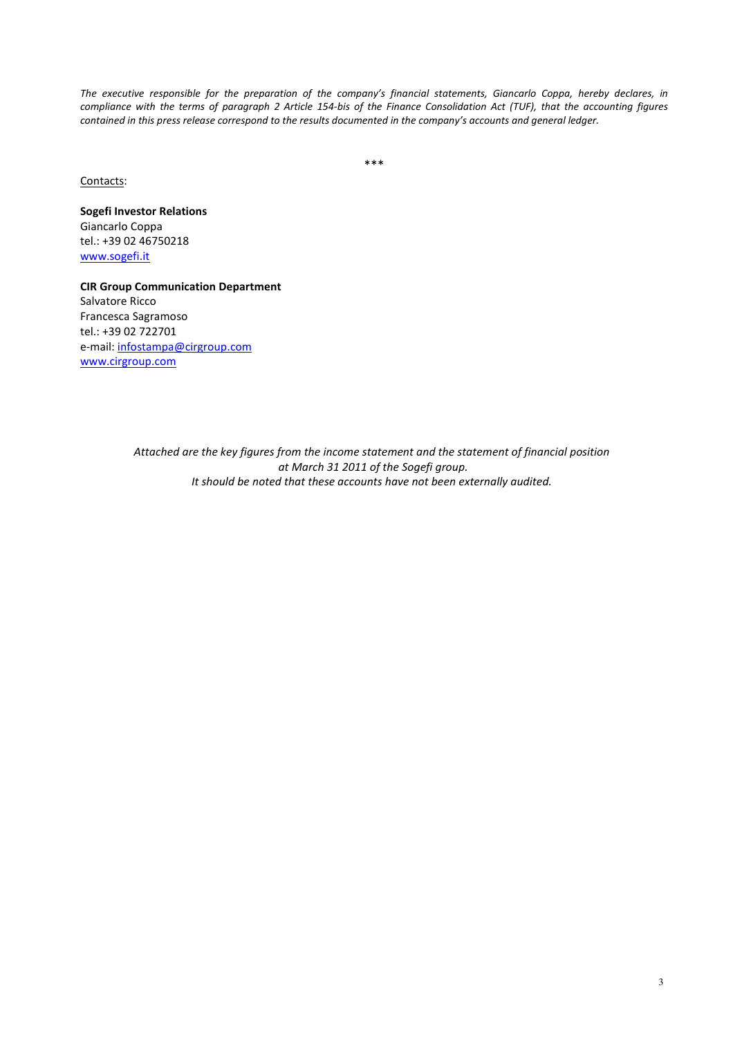The executive responsible for the preparation of the company's financial statements, Giancarlo Coppa, hereby declares, in compliance with the terms of paragraph 2 Article 154-bis of the Finance Consolidation Act (TUF), that the accounting figures contained in this press release correspond to the results documented in the company's accounts and general ledger.

\*\*\*

#### Contacts:

Sogefi Investor Relations Giancarlo Coppa tel.: +39 02 46750218 www.sogefi.it

CIR Group Communication Department Salvatore Ricco Francesca Sagramoso tel.: +39 02 722701 e-mail: infostampa@cirgroup.com www.cirgroup.com

> Attached are the key figures from the income statement and the statement of financial position at March 31 2011 of the Sogefi group. It should be noted that these accounts have not been externally audited.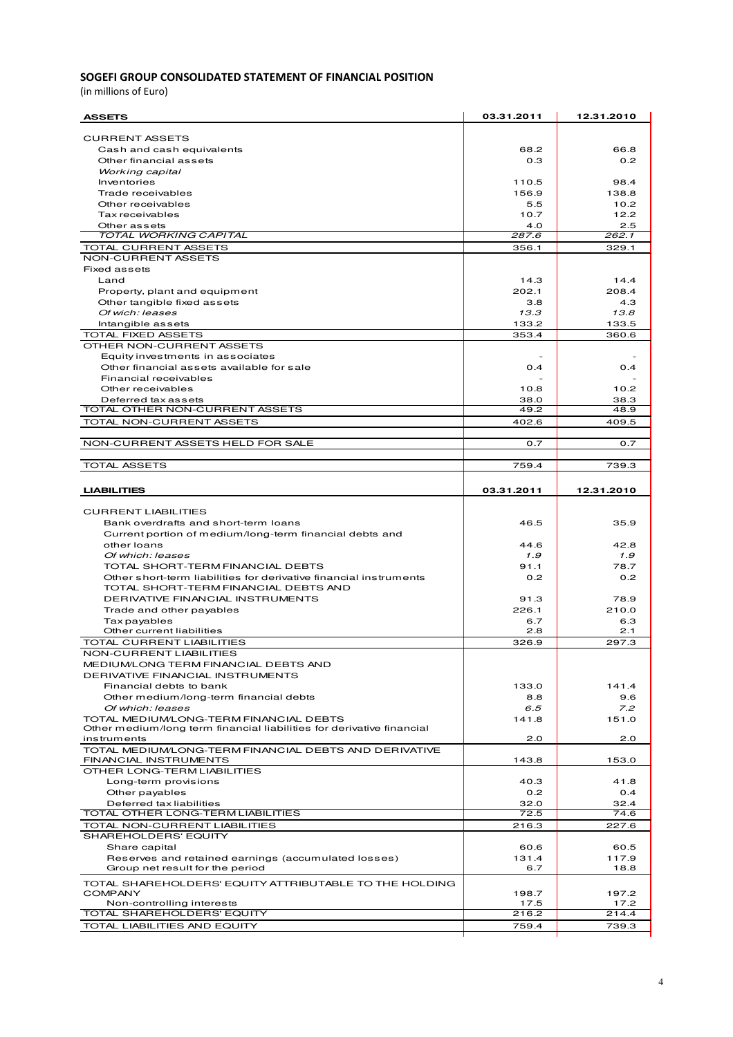#### SOGEFI GROUP CONSOLIDATED STATEMENT OF FINANCIAL POSITION

(in millions of Euro)

| <b>ASSETS</b>                                                                          | 03.31.2011   | 12.31.2010    |
|----------------------------------------------------------------------------------------|--------------|---------------|
| <b>CURRENT ASSETS</b>                                                                  |              |               |
| Cash and cash equivalents                                                              | 68.2         | 66.8          |
| Other financial assets                                                                 | 0.3          | 0.2           |
| Working capital                                                                        |              |               |
| Inventories                                                                            | 110.5        | 98.4          |
| Trade receivables                                                                      | 156.9        | 138.8         |
| Other receivables                                                                      | 5.5          | 10.2          |
| Tax receivables                                                                        | 10.7         | 12.2          |
| Other assets<br>TOTAL WORKING CAPITAL                                                  | 4.0<br>287.6 | 2.5<br>262.1  |
| TOTAL CURRENT ASSETS                                                                   | 356.1        | 329.1         |
| NON-CURRENT ASSETS                                                                     |              |               |
| <b>Fixed assets</b>                                                                    |              |               |
| Land                                                                                   | 14.3         | 14.4          |
| Property, plant and equipment                                                          | 202.1        | 208.4         |
| Other tangible fixed assets                                                            | 3.8          | 4.3           |
| Of wich: leases                                                                        | 13.3         | 13.8          |
| Intangible assets                                                                      | 133.2        | 133.5         |
| <b>TOTAL FIXED ASSETS</b>                                                              | 353.4        | 360.6         |
| OTHER NON-CURRENT ASSETS                                                               |              |               |
| Equity investments in associates<br>Other financial assets available for sale          | 0.4          | 0.4           |
| Financial receivables                                                                  |              |               |
| Other receivables                                                                      | 10.8         | 10.2          |
| Deferred tax assets                                                                    | 38.0         | 38.3          |
| TOTAL OTHER NON-CURRENT ASSETS                                                         | 49.2         | 48.9          |
| TOTAL NON-CURRENT ASSETS                                                               | 402.6        | 409.5         |
|                                                                                        |              |               |
| NON-CURRENT ASSETS HELD FOR SALE                                                       | 0.7          | 0.7           |
|                                                                                        |              |               |
| <b>TOTAL ASSETS</b>                                                                    | 759.4        | 739.3         |
| <b>LIABILITIES</b>                                                                     | 03.31.2011   | 12.31.2010    |
| <b>CURRENT LIABILITIES</b>                                                             |              |               |
| Bank overdrafts and short-term loans                                                   | 46.5         | 35.9          |
| Current portion of medium/long-term financial debts and                                |              |               |
| other loans                                                                            | 44.6         | 42.8          |
| Of which: leases                                                                       | 1.9          | 1.9           |
| TOTAL SHORT-TERM FINANCIAL DEBTS                                                       | 91.1         | 78.7          |
| Other short-term liabilities for derivative financial instruments                      | 0.2          | 0.2           |
| TOTAL SHORT-TERM FINANCIAL DEBTS AND                                                   |              |               |
| DERIVATIVE FINANCIAL INSTRUMENTS                                                       | 91.3         | 78.9          |
| Trade and other payables                                                               | 226.1        | 210.0         |
| Tax payables<br>Other current liabilities                                              | 6.7<br>2.8   | 6.3<br>2.1    |
| TOTAL CURRENT LIABILITIES                                                              | 326.9        | 297.3         |
| NON-CURRENT LIABILITIES                                                                |              |               |
| MEDIUM/LONG TERM FINANCIAL DEBTS AND                                                   |              |               |
| DERIVATIVE FINANCIAL INSTRUMENTS                                                       |              |               |
| Financial debts to bank                                                                | 133.0        | 141.4         |
| Other medium/long-term financial debts                                                 | 8.8          | 9.6           |
| Of which: leases                                                                       | 6.5          | Z.2           |
| TOTAL MEDIUM/LONG-TERM FINANCIAL DEBTS                                                 | 141.8        | 151.0         |
| Other medium/long term financial liabilities for derivative financial<br>instruments   | 2.0          | 2.0           |
| TOTAL MEDIUM/LONG-TERM FINANCIAL DEBTS AND DERIVATIVE                                  |              |               |
| FINANCIAL INSTRUMENTS                                                                  | 143.8        | 153.0         |
| OTHER LONG-TERM LIABILITIES                                                            |              |               |
| Long-term provisions                                                                   | 40.3         | 41.8          |
| Other payables                                                                         | 0.2          | 0.4           |
| Deferred tax liabilities                                                               | 32.0         | 32.4          |
| TOTAL OTHER LONG-TERM LIABILITIES                                                      | 72.5         | 74.6          |
| TOTAL NON-CURRENT LIABILITIES                                                          | 216.3        | 227.6         |
| SHAREHOLDERS' EQUITY                                                                   |              |               |
| Share capital                                                                          | 60.6         | 60.5<br>117.9 |
| Reserves and retained earnings (accumulated losses)<br>Group net result for the period | 131.4<br>6.7 | 18.8          |
|                                                                                        |              |               |
| TOTAL SHAREHOLDERS' EQUITY ATTRIBUTABLE TO THE HOLDING<br><b>COMPANY</b>               | 198.7        | 197.2         |
| Non-controlling interests                                                              | 17.5         | 17.2          |
| TOTAL SHAREHOLDERS' EQUITY                                                             | 216.2        | 214.4         |
| TOTAL LIABILITIES AND EQUITY                                                           | 759.4        | 739.3         |
|                                                                                        |              |               |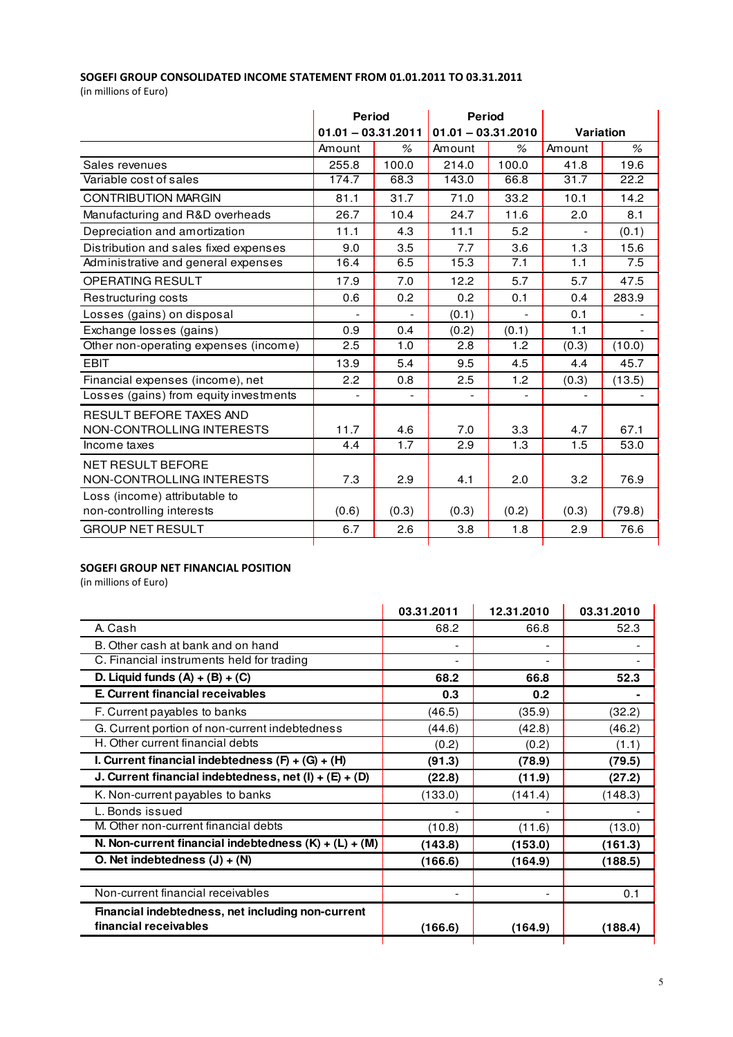# SOGEFI GROUP CONSOLIDATED INCOME STATEMENT FROM 01.01.2011 TO 03.31.2011

(in millions of Euro)

|                                        | <b>Period</b><br>$01.01 - 03.31.2011$ |                | Period<br>$01.01 - 03.31.2010$ |                |           |        |
|----------------------------------------|---------------------------------------|----------------|--------------------------------|----------------|-----------|--------|
|                                        |                                       |                |                                |                | Variation |        |
|                                        | Amount                                | %              | Amount                         | $\%$           | Amount    | $\%$   |
| Sales revenues                         | 255.8                                 | 100.0          | 214.0                          | 100.0          | 41.8      | 19.6   |
| Variable cost of sales                 | 174.7                                 | 68.3           | 143.0                          | 66.8           | 31.7      | 22.2   |
| <b>CONTRIBUTION MARGIN</b>             | 81.1                                  | 31.7           | 71.0                           | 33.2           | 10.1      | 14.2   |
| Manufacturing and R&D overheads        | 26.7                                  | 10.4           | 24.7                           | 11.6           | 2.0       | 8.1    |
| Depreciation and amortization          | 11.1                                  | 4.3            | 11.1                           | 5.2            |           | (0.1)  |
| Distribution and sales fixed expenses  | 9.0                                   | 3.5            | 7.7                            | 3.6            | 1.3       | 15.6   |
| Administrative and general expenses    | 16.4                                  | 6.5            | 15.3                           | 7.1            | 1.1       | 7.5    |
| <b>OPERATING RESULT</b>                | 17.9                                  | 7.0            | 12.2                           | 5.7            | 5.7       | 47.5   |
| Restructuring costs                    | 0.6                                   | 0.2            | 0.2                            | 0.1            | 0.4       | 283.9  |
| Losses (gains) on disposal             |                                       | $\overline{a}$ | (0.1)                          | $\overline{a}$ | 0.1       |        |
| Exchange losses (gains)                | 0.9                                   | 0.4            | (0.2)                          | (0.1)          | 1.1       |        |
| Other non-operating expenses (income)  | 2.5                                   | 1.0            | 2.8                            | 1.2            | (0.3)     | (10.0) |
| <b>EBIT</b>                            | 13.9                                  | 5.4            | 9.5                            | 4.5            | 4.4       | 45.7   |
| Financial expenses (income), net       | 2.2                                   | 0.8            | 2.5                            | 1.2            | (0.3)     | (13.5) |
| Losses (gains) from equity investments |                                       |                |                                | $\blacksquare$ |           |        |
| RESULT BEFORE TAXES AND                |                                       |                |                                |                |           |        |
| NON-CONTROLLING INTERESTS              | 11.7                                  | 4.6            | 7.0                            | 3.3            | 4.7       | 67.1   |
| Income taxes                           | 4.4                                   | 1.7            | 2.9                            | 1.3            | 1.5       | 53.0   |
| <b>NET RESULT BEFORE</b>               |                                       |                |                                |                |           |        |
| NON-CONTROLLING INTERESTS              | 7.3                                   | 2.9            | 4.1                            | 2.0            | 3.2       | 76.9   |
| Loss (income) attributable to          |                                       |                |                                |                |           |        |
| non-controlling interests              | (0.6)                                 | (0.3)          | (0.3)                          | (0.2)          | (0.3)     | (79.8) |
| <b>GROUP NET RESULT</b>                | 6.7                                   | 2.6            | 3.8                            | 1.8            | 2.9       | 76.6   |
|                                        |                                       |                |                                |                |           |        |

# SOGEFI GROUP NET FINANCIAL POSITION

(in millions of Euro)

|                                                                            | 03.31.2011 | 12.31.2010 | 03.31.2010 |
|----------------------------------------------------------------------------|------------|------------|------------|
| A. Cash                                                                    | 68.2       | 66.8       | 52.3       |
| B. Other cash at bank and on hand                                          |            |            |            |
| C. Financial instruments held for trading                                  |            |            |            |
| D. Liquid funds $(A) + (B) + (C)$                                          | 68.2       | 66.8       | 52.3       |
| E. Current financial receivables                                           | 0.3        | 0.2        |            |
| F. Current payables to banks                                               | (46.5)     | (35.9)     | (32.2)     |
| G. Current portion of non-current indebtedness                             | (44.6)     | (42.8)     | (46.2)     |
| H. Other current financial debts                                           | (0.2)      | (0.2)      | (1.1)      |
| I. Current financial indebtedness $(F) + (G) + (H)$                        | (91.3)     | (78.9)     | (79.5)     |
| J. Current financial indebtedness, net (I) + $(E)$ + $(D)$                 | (22.8)     | (11.9)     | (27.2)     |
| K. Non-current payables to banks                                           | (133.0)    | (141.4)    | (148.3)    |
| L. Bonds issued                                                            |            |            |            |
| M. Other non-current financial debts                                       | (10.8)     | (11.6)     | (13.0)     |
| N. Non-current financial indebtedness $(K) + (L) + (M)$                    | (143.8)    | (153.0)    | (161.3)    |
| O. Net indebtedness $(J) + (N)$                                            | (166.6)    | (164.9)    | (188.5)    |
| Non-current financial receivables                                          |            |            | 0.1        |
| Financial indebtedness, net including non-current<br>financial receivables | (166.6)    | (164.9)    | (188.4)    |